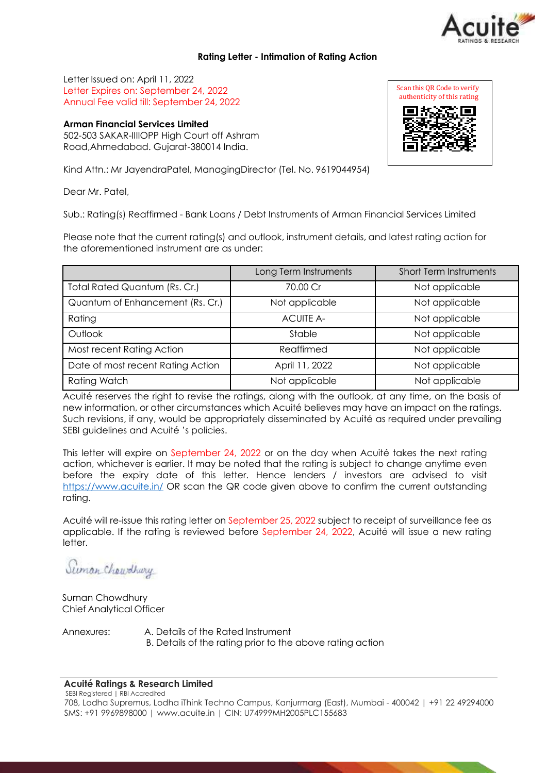

### **Rating Letter - Intimation of Rating Action**

Letter Issued on: April 11, 2022 Letter Expires on: September 24, 2022 Annual Fee valid till: September 24, 2022

## **Arman Financial Services Limited**

502-503 SAKAR-IIIIOPP High Court off Ashram Road,Ahmedabad. Gujarat-380014 India.

Kind Attn.: Mr JayendraPatel, ManagingDirector (Tel. No. 9619044954)

Dear Mr. Patel,

Sub.: Rating(s) Reaffirmed - Bank Loans / Debt Instruments of Arman Financial Services Limited

Please note that the current rating(s) and outlook, instrument details, and latest rating action for the aforementioned instrument are as under:

|                                   | Long Term Instruments | <b>Short Term Instruments</b> |
|-----------------------------------|-----------------------|-------------------------------|
| Total Rated Quantum (Rs. Cr.)     | 70.00 Cr              | Not applicable                |
| Quantum of Enhancement (Rs. Cr.)  | Not applicable        | Not applicable                |
| Rating                            | <b>ACUITE A-</b>      | Not applicable                |
| Outlook                           | Stable                | Not applicable                |
| Most recent Rating Action         | Reaffirmed            | Not applicable                |
| Date of most recent Rating Action | April 11, 2022        | Not applicable                |
| <b>Rating Watch</b>               | Not applicable        | Not applicable                |

Acuité reserves the right to revise the ratings, along with the outlook, at any time, on the basis of new information, or other circumstances which Acuité believes may have an impact on the ratings. Such revisions, if any, would be appropriately disseminated by Acuité as required under prevailing SEBI guidelines and Acuité 's policies.

This letter will expire on September 24, 2022 or on the day when Acuité takes the next rating action, whichever is earlier. It may be noted that the rating is subject to change anytime even before the expiry date of this letter. Hence lenders / investors are advised to visit [https://www.acuite.in/](http://www.acuite.in/) OR scan the QR code given above to confirm the current outstanding rating.

Acuité will re-issue this rating letter on September 25, 2022 subject to receipt of surveillance fee as applicable. If the rating is reviewed before September 24, 2022, Acuité will issue a new rating letter.

Suman Chaudhury

Suman Chowdhury Chief Analytical Officer

Annexures: A. Details of the Rated Instrument

B. Details of the rating prior to the above rating action

#### **Acuité Ratings & Research Limited**

SEBI Registered | RBI Accredited 708, Lodha Supremus, Lodha iThink Techno Campus, Kanjurmarg (East), Mumbai - 400042 | +91 22 49294000 SMS: +91 9969898000 | [www.acuite.in |](http://www.acuite.in/) CIN: U74999MH2005PLC155683

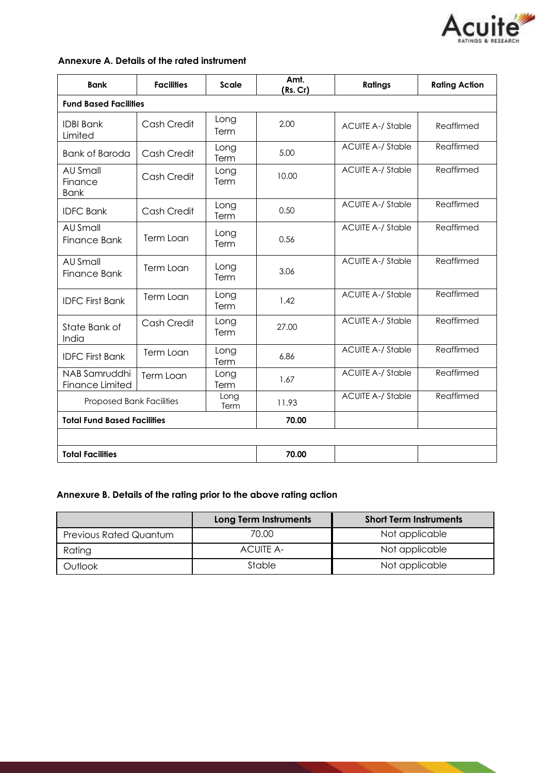

|  |  |  | Annexure A. Details of the rated instrument |
|--|--|--|---------------------------------------------|
|--|--|--|---------------------------------------------|

| <b>Bank</b>                               | <b>Facilities</b> | <b>Scale</b> | Amt.<br>(Rs. Cr) | <b>Ratings</b>           | <b>Rating Action</b> |
|-------------------------------------------|-------------------|--------------|------------------|--------------------------|----------------------|
| <b>Fund Based Facilities</b>              |                   |              |                  |                          |                      |
| <b>IDBI Bank</b><br>Limited               | Cash Credit       | Long<br>Term | 2.00             | <b>ACUITE A-/ Stable</b> | Reaffirmed           |
| <b>Bank of Baroda</b>                     | Cash Credit       | Long<br>Term | 5.00             | <b>ACUITE A-/ Stable</b> | Reaffirmed           |
| <b>AU Small</b><br>Finance<br><b>Bank</b> | Cash Credit       | Long<br>Term | 10.00            | <b>ACUITE A-/ Stable</b> | Reaffirmed           |
| <b>IDFC Bank</b>                          | Cash Credit       | Long<br>Term | 0.50             | <b>ACUITE A-/ Stable</b> | Reaffirmed           |
| AU Small<br>Finance Bank                  | Term Loan         | Long<br>Term | 0.56             | <b>ACUITE A-/ Stable</b> | Reaffirmed           |
| AU Small<br>Finance Bank                  | Term Loan         | Long<br>Term | 3.06             | <b>ACUITE A-/ Stable</b> | Reaffirmed           |
| <b>IDFC First Bank</b>                    | Term Loan         | Long<br>Term | 1.42             | <b>ACUITE A-/ Stable</b> | Reaffirmed           |
| State Bank of<br>India                    | Cash Credit       | Long<br>Term | 27.00            | <b>ACUITE A-/ Stable</b> | Reaffirmed           |
| <b>IDFC First Bank</b>                    | Term Loan         | Long<br>Term | 6.86             | <b>ACUITE A-/ Stable</b> | Reaffirmed           |
| NAB Samruddhi<br><b>Finance Limited</b>   | Term Loan         | Long<br>Term | 1.67             | <b>ACUITE A-/ Stable</b> | Reaffirmed           |
| <b>Proposed Bank Facilities</b>           |                   | Long<br>Term | 11.93            | <b>ACUITE A-/ Stable</b> | Reaffirmed           |
| <b>Total Fund Based Facilities</b>        |                   | 70.00        |                  |                          |                      |
|                                           |                   |              |                  |                          |                      |
| <b>Total Facilities</b>                   |                   |              | 70.00            |                          |                      |

# **Annexure B. Details of the rating prior to the above rating action**

|                               | <b>Long Term Instruments</b> | <b>Short Term Instruments</b> |
|-------------------------------|------------------------------|-------------------------------|
| <b>Previous Rated Quantum</b> | 70.00                        | Not applicable                |
| Rating                        | <b>ACUITE A-</b>             | Not applicable                |
| Outlook                       | Stable                       | Not applicable                |